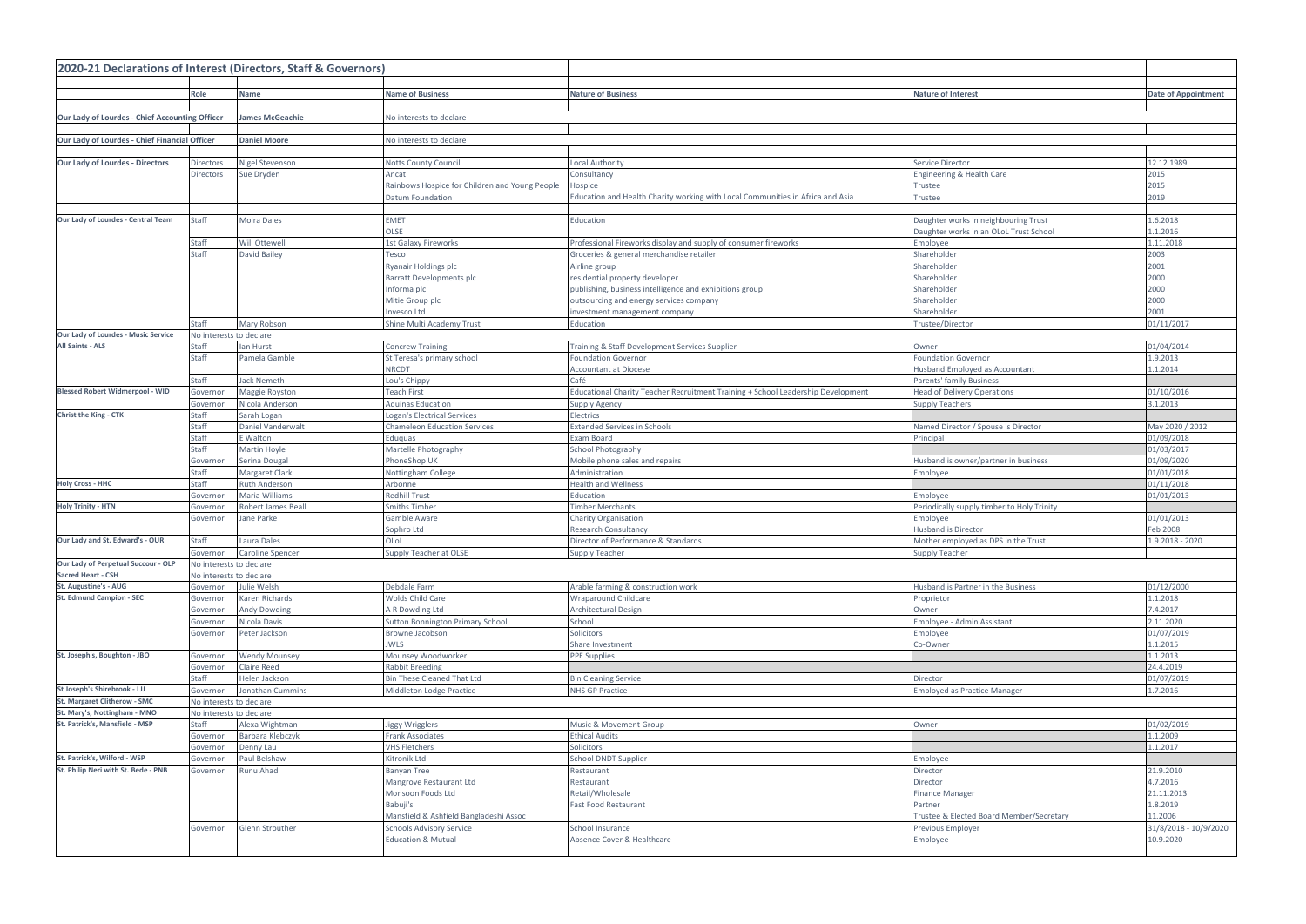| 2020-21 Declarations of Interest (Directors, Staff & Governors) |                          |                                 |                                                                  |                                                                                  |                                                  |                                    |  |  |
|-----------------------------------------------------------------|--------------------------|---------------------------------|------------------------------------------------------------------|----------------------------------------------------------------------------------|--------------------------------------------------|------------------------------------|--|--|
|                                                                 |                          |                                 |                                                                  |                                                                                  |                                                  |                                    |  |  |
|                                                                 | Role                     | Name                            | <b>Name of Business</b>                                          | <b>Nature of Business</b>                                                        | <b>Nature of Interest</b>                        | <b>Date of Appointment</b>         |  |  |
| Our Lady of Lourdes - Chief Accounting Officer                  |                          | <b>James McGeachie</b>          | No interests to declare                                          |                                                                                  |                                                  |                                    |  |  |
|                                                                 |                          |                                 |                                                                  |                                                                                  |                                                  |                                    |  |  |
| Our Lady of Lourdes - Chief Financial Officer                   |                          | <b>Daniel Moore</b>             | No interests to declare                                          |                                                                                  |                                                  |                                    |  |  |
|                                                                 |                          |                                 |                                                                  |                                                                                  |                                                  |                                    |  |  |
| <b>Our Lady of Lourdes - Directors</b>                          | Directors                | <b>Nigel Stevenson</b>          | <b>Notts County Council</b>                                      | Local Authority                                                                  | Service Director                                 | 12.12.1989                         |  |  |
|                                                                 | Directors                | Sue Dryden                      | Ancat                                                            | Consultancy                                                                      | Engineering & Health Care                        | 2015                               |  |  |
|                                                                 |                          |                                 | Rainbows Hospice for Children and Young People                   | Hospice                                                                          | Trustee                                          | 2015                               |  |  |
|                                                                 |                          |                                 | <b>Datum Foundation</b>                                          | Education and Health Charity working with Local Communities in Africa and Asia   | Trustee                                          | 2019                               |  |  |
|                                                                 |                          |                                 |                                                                  |                                                                                  |                                                  |                                    |  |  |
| Our Lady of Lourdes - Central Team                              | Staff                    | Moira Dales                     | <b>EMET</b>                                                      | Education                                                                        | Daughter works in neighbouring Trust             | 1.6.2018                           |  |  |
|                                                                 |                          |                                 | <b>OLSE</b>                                                      |                                                                                  | Daughter works in an OLoL Trust School           | 1.1.2016                           |  |  |
|                                                                 | <b>Staff</b>             | Will Ottewell                   | <b>1st Galaxy Fireworks</b>                                      | Professional Fireworks display and supply of consumer fireworks                  | Employee                                         | 1.11.2018                          |  |  |
|                                                                 | Staff                    | David Bailey                    | Tesco                                                            | Groceries & general merchandise retailer                                         | Shareholder<br>Shareholder                       | 2003                               |  |  |
|                                                                 |                          |                                 | Ryanair Holdings plc<br><b>Barratt Developments plc</b>          | Airline group<br>residential property developer                                  | Shareholder                                      | 2001<br>2000                       |  |  |
|                                                                 |                          |                                 | Informa plc                                                      | publishing, business intelligence and exhibitions group                          | Shareholder                                      | 2000                               |  |  |
|                                                                 |                          |                                 | Mitie Group plc                                                  | outsourcing and energy services company                                          | Shareholder                                      | 2000                               |  |  |
|                                                                 |                          |                                 | Invesco Ltd                                                      | investment management company                                                    | Shareholder                                      | 2001                               |  |  |
|                                                                 | Staff                    | Mary Robson                     | Shine Multi Academy Trust                                        | Education                                                                        | Trustee/Director                                 | 01/11/2017                         |  |  |
| Our Lady of Lourdes - Music Service                             | No interests to declare  |                                 |                                                                  |                                                                                  |                                                  |                                    |  |  |
| <b>All Saints - ALS</b>                                         | Staff                    | lan Hurst                       | <b>Concrew Training</b>                                          | Training & Staff Development Services Supplier                                   | Owner                                            | 01/04/2014                         |  |  |
|                                                                 | <b>Staff</b>             | Pamela Gamble                   | St Teresa's primary school                                       | <b>Foundation Governor</b>                                                       | <b>Foundation Governor</b>                       | 1.9.2013                           |  |  |
|                                                                 |                          |                                 | <b>NRCDT</b>                                                     | <b>Accountant at Diocese</b>                                                     | <b>Husband Employed as Accountant</b>            | 1.1.2014                           |  |  |
|                                                                 | Staff                    | Jack Nemeth                     | Lou's Chippy                                                     | Café                                                                             | Parents' family Business                         |                                    |  |  |
| <b>Blessed Robert Widmerpool - WID</b>                          | Governor                 | Maggie Royston                  | <b>Teach First</b>                                               | Educational Charity Teacher Recruitment Training + School Leadership Development | <b>Head of Delivery Operations</b>               | 01/10/2016                         |  |  |
|                                                                 | Governor                 | Nicola Anderson                 | <b>Aquinas Education</b>                                         | <b>Supply Agency</b>                                                             | <b>Supply Teachers</b>                           | 3.1.2013                           |  |  |
| Christ the King - CTK                                           | Staff                    | Sarah Logan                     | Logan's Electrical Services                                      | Electrics                                                                        |                                                  |                                    |  |  |
|                                                                 | <b>Staff</b>             | Daniel Vanderwalt               | <b>Chameleon Education Services</b>                              | <b>Extended Services in Schools</b>                                              | Named Director / Spouse is Director              | May 2020 / 2012                    |  |  |
|                                                                 | Staff                    | E Walton                        | Eduquas                                                          | Exam Board                                                                       | Principal                                        | 01/09/2018                         |  |  |
|                                                                 | Staff                    | Martin Hoyle                    | Martelle Photography<br>PhoneShop UK                             | School Photography<br>Mobile phone sales and repairs                             |                                                  | 01/03/2017                         |  |  |
|                                                                 | Governor<br><b>Staff</b> | Serina Dougal<br>Margaret Clark | Nottingham College                                               | Administration                                                                   | Husband is owner/partner in business<br>Employee | 01/09/2020<br>01/01/2018           |  |  |
| <b>Holy Cross - HHC</b>                                         | Staff                    | <b>Ruth Anderson</b>            | Arbonne                                                          | <b>Health and Wellness</b>                                                       |                                                  | 01/11/2018                         |  |  |
|                                                                 | Governor                 | Maria Williams                  | <b>Redhill Trust</b>                                             | <b>Education</b>                                                                 | Employee                                         | 01/01/2013                         |  |  |
| <b>Holy Trinity - HTN</b>                                       | Governor                 | Robert James Beall              | <b>Smiths Timber</b>                                             | <b>Timber Merchants</b>                                                          | Periodically supply timber to Holy Trinity       |                                    |  |  |
|                                                                 | Governor                 | Jane Parke                      | Gamble Aware                                                     | <b>Charity Organisation</b>                                                      | Employee                                         | 01/01/2013                         |  |  |
|                                                                 |                          |                                 | Sophro Ltd                                                       | <b>Research Consultancy</b>                                                      | <b>Husband is Director</b>                       | Feb 2008                           |  |  |
| Our Lady and St. Edward's - OUR                                 | Staff                    | Laura Dales                     | OLoL                                                             | Director of Performance & Standards                                              | Mother employed as DPS in the Trust              | 1.9.2018 - 2020                    |  |  |
|                                                                 | Governor                 | <b>Caroline Spencer</b>         | Supply Teacher at OLSE                                           | <b>Supply Teacher</b>                                                            | <b>Supply Teacher</b>                            |                                    |  |  |
| Our Lady of Perpetual Succour - OLP                             | No interests to declare  |                                 |                                                                  |                                                                                  |                                                  |                                    |  |  |
| <b>Sacred Heart - CSH</b>                                       | No interests to declare  |                                 |                                                                  |                                                                                  |                                                  |                                    |  |  |
| St. Augustine's - AUG                                           | Governor                 | Julie Welsh                     | Debdale Farm                                                     | Arable farming & construction work                                               | Husband is Partner in the Business               | 01/12/2000                         |  |  |
| <b>St. Edmund Campion - SEC</b>                                 | Governor                 | Karen Richards                  | Wolds Child Care                                                 | <b>Wraparound Childcare</b>                                                      | Proprietor                                       | 1.1.2018                           |  |  |
|                                                                 | Governor                 | <b>Andy Dowding</b>             | A R Dowding Ltd                                                  | <b>Architectural Design</b>                                                      | Owner                                            | 7.4.2017                           |  |  |
|                                                                 | Governor                 | Nicola Davis                    | <b>Sutton Bonnington Primary School</b>                          | School<br>Solicitors                                                             | Employee - Admin Assistant                       | 2.11.2020<br>01/07/2019            |  |  |
|                                                                 | Governor                 | Peter Jackson                   | Browne Jacobson<br><b>JWLS</b>                                   | Share Investment                                                                 | Employee<br>Co-Owner                             | 1.1.2015                           |  |  |
| St. Joseph's, Boughton - JBO                                    | Governor                 | <b>Wendy Mounsey</b>            | Mounsey Woodworker                                               | <b>PPE Supplies</b>                                                              |                                                  | 1.1.2013                           |  |  |
|                                                                 | Governor                 | Claire Reed                     | <b>Rabbit Breeding</b>                                           |                                                                                  |                                                  | 24.4.2019                          |  |  |
|                                                                 | Staff                    | Helen Jackson                   | <b>Bin These Cleaned That Ltd</b>                                | <b>Bin Cleaning Service</b>                                                      | Director                                         | 01/07/2019                         |  |  |
| St Joseph's Shirebrook - LJJ                                    | Governor                 | Jonathan Cummins                | Middleton Lodge Practice                                         | <b>NHS GP Practice</b>                                                           | <b>Employed as Practice Manager</b>              | 1.7.2016                           |  |  |
| St. Margaret Clitherow - SMC                                    | No interests to declare  |                                 |                                                                  |                                                                                  |                                                  |                                    |  |  |
| St. Mary's, Nottingham - MNO                                    | No interests to declare  |                                 |                                                                  |                                                                                  |                                                  |                                    |  |  |
| St. Patrick's, Mansfield - MSP                                  | Staff                    | Alexa Wightman                  | <b>Jiggy Wrigglers</b>                                           | Music & Movement Group                                                           | Owner                                            | 01/02/2019                         |  |  |
|                                                                 | Governor                 | Barbara Klebczyk                | <b>Frank Associates</b>                                          | <b>Ethical Audits</b>                                                            |                                                  | 1.1.2009                           |  |  |
|                                                                 | Governor                 | Denny Lau                       | <b>VHS Fletchers</b>                                             | Solicitors                                                                       |                                                  | 1.1.2017                           |  |  |
| St. Patrick's, Wilford - WSP                                    | Governor                 | Paul Belshaw                    | Kitronik Ltd                                                     | School DNDT Supplier                                                             | Employee                                         |                                    |  |  |
| St. Philip Neri with St. Bede - PNB                             | Governor                 | Runu Ahad                       | <b>Banyan Tree</b>                                               | Restaurant                                                                       | Director                                         | 21.9.2010                          |  |  |
|                                                                 |                          |                                 | Mangrove Restaurant Ltd                                          | Restaurant                                                                       | Director                                         | 4.7.2016                           |  |  |
|                                                                 |                          |                                 | Monsoon Foods Ltd                                                | Retail/Wholesale                                                                 | <b>Finance Manager</b>                           | 21.11.2013                         |  |  |
|                                                                 |                          |                                 | Babuji's                                                         | <b>Fast Food Restaurant</b>                                                      | Partner                                          | 1.8.2019                           |  |  |
|                                                                 |                          |                                 | Mansfield & Ashfield Bangladeshi Assoc                           |                                                                                  | Trustee & Elected Board Member/Secretary         | 11.2006                            |  |  |
|                                                                 | Governor                 | Glenn Strouther                 | <b>Schools Advisory Service</b><br><b>Education &amp; Mutual</b> | School Insurance<br>Absence Cover & Healthcare                                   | Previous Employer<br>Employee                    | 31/8/2018 - 10/9/2020<br>10.9.2020 |  |  |
|                                                                 |                          |                                 |                                                                  |                                                                                  |                                                  |                                    |  |  |
|                                                                 |                          |                                 |                                                                  |                                                                                  |                                                  |                                    |  |  |